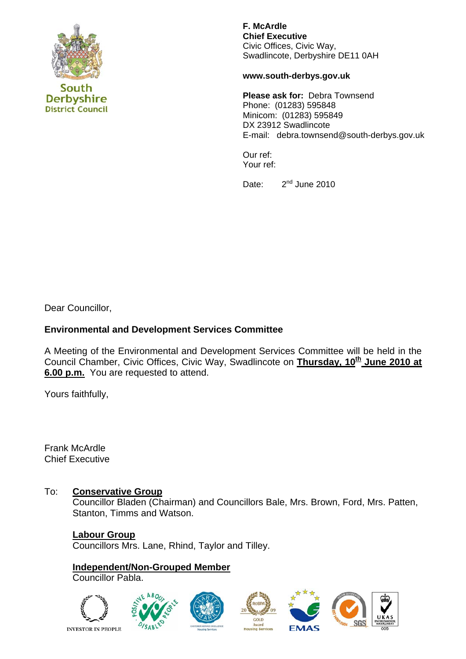

South **Derbyshire District Council**  **F. McArdle Chief Executive** Civic Offices, Civic Way, Swadlincote, Derbyshire DE11 0AH

**www.south-derbys.gov.uk** 

**Please ask for:** Debra Townsend Phone: (01283) 595848 Minicom: (01283) 595849 DX 23912 Swadlincote E-mail: debra.townsend@south-derbys.gov.uk

Our ref: Your ref:

Date: 2<sup>nd</sup> June 2010

Dear Councillor,

# **Environmental and Development Services Committee**

A Meeting of the Environmental and Development Services Committee will be held in the Council Chamber, Civic Offices, Civic Way, Swadlincote on Thursday, 10<sup>th</sup> June 2010 at **6.00 p.m.** You are requested to attend.

Yours faithfully,

Frank McArdle Chief Executive

## To: **Conservative Group**

Councillor Bladen (Chairman) and Councillors Bale, Mrs. Brown, Ford, Mrs. Patten, Stanton, Timms and Watson.

**Labour Group** Councillors Mrs. Lane, Rhind, Taylor and Tilley.

**Independent/Non-Grouped Member** Councillor Pabla.